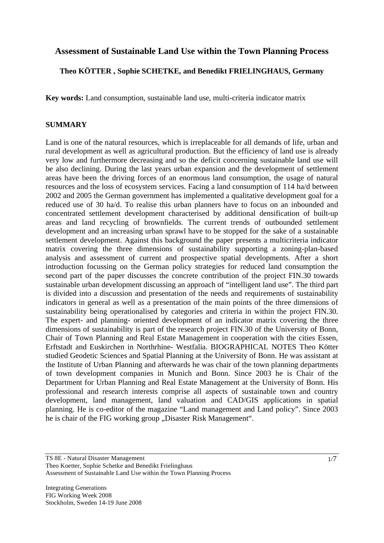# **Assessment of Sustainable Land Use within the Town Planning Process**

#### **Theo KÖTTER , Sophie SCHETKE, and Benedikt FRIELINGHAUS, Germany**

**Key words:** Land consumption, sustainable land use, multi-criteria indicator matrix

#### **SUMMARY**

Land is one of the natural resources, which is irreplaceable for all demands of life, urban and rural development as well as agricultural production. But the efficiency of land use is already very low and furthermore decreasing and so the deficit concerning sustainable land use will be also declining. During the last years urban expansion and the development of settlement areas have been the driving forces of an enormous land consumption, the usage of natural resources and the loss of ecosystem services. Facing a land consumption of 114 ha/d between 2002 and 2005 the German government has implemented a qualitative development goal for a reduced use of 30 ha/d. To realise this urban planners have to focus on an inbounded and concentrated settlement development characterised by additional densification of built-up areas and land recycling of brownfields. The current trends of outbounded settlement development and an increasing urban sprawl have to be stopped for the sake of a sustainable settlement development. Against this background the paper presents a multicriteria indicator matrix covering the three dimensions of sustainability supporting a zoning-plan-based analysis and assessment of current and prospective spatial developments. After a short introduction focussing on the German policy strategies for reduced land consumption the second part of the paper discusses the concrete contribution of the project FIN.30 towards sustainable urban development discussing an approach of "intelligent land use". The third part is divided into a discussion and presentation of the needs and requirements of sustainability indicators in general as well as a presentation of the main points of the three dimensions of sustainability being operationalised by categories and criteria in within the project FIN.30. The expert- and planning- oriented development of an indicator matrix covering the three dimensions of sustainability is part of the research project FIN.30 of the University of Bonn, Chair of Town Planning and Real Estate Management in cooperation with the cities Essen, Erftstadt and Euskirchen in Northrhine- Westfalia. BIOGRAPHICAL NOTES Theo Kötter studied Geodetic Sciences and Spatial Planning at the University of Bonn. He was assistant at the Institute of Urban Planning and afterwards he was chair of the town planning departments of town development companies in Munich and Bonn. Since 2003 he is Chair of the Department for Urban Planning and Real Estate Management at the University of Bonn. His professional and research interests comprise all aspects of sustainable town and country development, land management, land valuation and CAD/GIS applications in spatial planning. He is co-editor of the magazine "Land management and Land policy". Since 2003 he is chair of the FIG working group , Disaster Risk Management".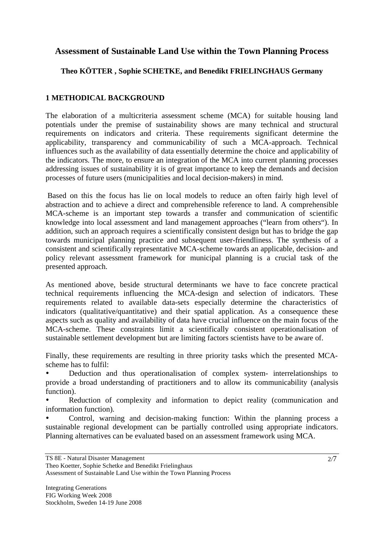# **Assessment of Sustainable Land Use within the Town Planning Process**

## **Theo KÖTTER , Sophie SCHETKE, and Benedikt FRIELINGHAUS Germany**

# **1 METHODICAL BACKGROUND**

The elaboration of a multicriteria assessment scheme (MCA) for suitable housing land potentials under the premise of sustainability shows are many technical and structural requirements on indicators and criteria. These requirements significant determine the applicability, transparency and communicability of such a MCA-approach. Technical influences such as the availability of data essentially determine the choice and applicability of the indicators. The more, to ensure an integration of the MCA into current planning processes addressing issues of sustainability it is of great importance to keep the demands and decision processes of future users (municipalities and local decision-makers) in mind.

 Based on this the focus has lie on local models to reduce an often fairly high level of abstraction and to achieve a direct and comprehensible reference to land. A comprehensible MCA-scheme is an important step towards a transfer and communication of scientific knowledge into local assessment and land management approaches ("learn from others"). In addition, such an approach requires a scientifically consistent design but has to bridge the gap towards municipal planning practice and subsequent user-friendliness. The synthesis of a consistent and scientifically representative MCA-scheme towards an applicable, decision- and policy relevant assessment framework for municipal planning is a crucial task of the presented approach.

As mentioned above, beside structural determinants we have to face concrete practical technical requirements influencing the MCA-design and selection of indicators. These requirements related to available data-sets especially determine the characteristics of indicators (qualitative/quantitative) and their spatial application. As a consequence these aspects such as quality and availability of data have crucial influence on the main focus of the MCA-scheme. These constraints limit a scientifically consistent operationalisation of sustainable settlement development but are limiting factors scientists have to be aware of.

Finally, these requirements are resulting in three priority tasks which the presented MCAscheme has to fulfil:

• Deduction and thus operationalisation of complex system- interrelationships to provide a broad understanding of practitioners and to allow its communicability (analysis function).

Reduction of complexity and information to depict reality (communication and information function).

• Control, warning and decision-making function: Within the planning process a sustainable regional development can be partially controlled using appropriate indicators. Planning alternatives can be evaluated based on an assessment framework using MCA.

Theo Koetter, Sophie Schetke and Benedikt Frielinghaus Assessment of Sustainable Land Use within the Town Planning Process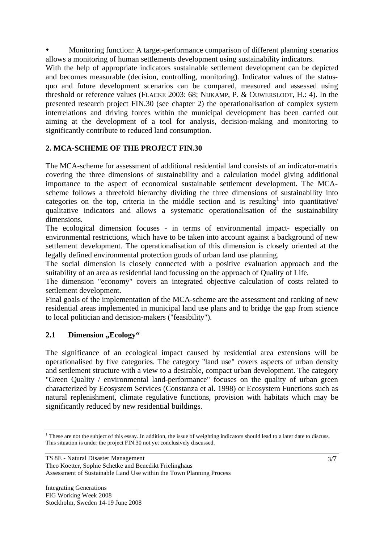• Monitoring function: A target-performance comparison of different planning scenarios allows a monitoring of human settlements development using sustainability indicators.

With the help of appropriate indicators sustainable settlement development can be depicted and becomes measurable (decision, controlling, monitoring). Indicator values of the statusquo and future development scenarios can be compared, measured and assessed using threshold or reference values (FLACKE 2003: 68; NIJKAMP, P. & OUWERSLOOT, H.: 4). In the presented research project FIN.30 (see chapter 2) the operationalisation of complex system interrelations and driving forces within the municipal development has been carried out aiming at the development of a tool for analysis, decision-making and monitoring to significantly contribute to reduced land consumption.

## **2. MCA-SCHEME OF THE PROJECT FIN.30**

The MCA-scheme for assessment of additional residential land consists of an indicator-matrix covering the three dimensions of sustainability and a calculation model giving additional importance to the aspect of economical sustainable settlement development. The MCAscheme follows a threefold hierarchy dividing the three dimensions of sustainability into categories on the top, criteria in the middle section and is resulting<sup>1</sup> into quantitative/ qualitative indicators and allows a systematic operationalisation of the sustainability dimensions.

The ecological dimension focuses - in terms of environmental impact- especially on environmental restrictions, which have to be taken into account against a background of new settlement development. The operationalisation of this dimension is closely oriented at the legally defined environmental protection goods of urban land use planning.

The social dimension is closely connected with a positive evaluation approach and the suitability of an area as residential land focussing on the approach of Quality of Life.

The dimension "economy" covers an integrated objective calculation of costs related to settlement development.

Final goals of the implementation of the MCA-scheme are the assessment and ranking of new residential areas implemented in municipal land use plans and to bridge the gap from science to local politician and decision-makers ("feasibility").

## **2.1 Dimension** , **Ecology**"

The significance of an ecological impact caused by residential area extensions will be operationalised by five categories. The category "land use" covers aspects of urban density and settlement structure with a view to a desirable, compact urban development. The category "Green Quality / environmental land-performance" focuses on the quality of urban green characterized by Ecosystem Services (Constanza et al. 1998) or Ecosystem Functions such as natural replenishment, climate regulative functions, provision with habitats which may be significantly reduced by new residential buildings.

 $\overline{a}$  $<sup>1</sup>$  These are not the subject of this essay. In addition, the issue of weighting indicators should lead to a later date to discuss.</sup> This situation is under the project FIN.30 not yet conclusively discussed.

Theo Koetter, Sophie Schetke and Benedikt Frielinghaus Assessment of Sustainable Land Use within the Town Planning Process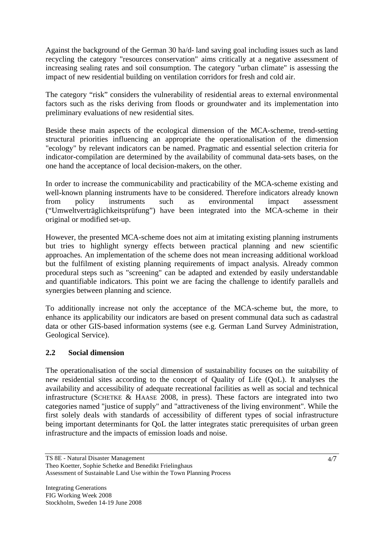Against the background of the German 30 ha/d- land saving goal including issues such as land recycling the category "resources conservation" aims critically at a negative assessment of increasing sealing rates and soil consumption. The category "urban climate" is assessing the impact of new residential building on ventilation corridors for fresh and cold air.

The category "risk" considers the vulnerability of residential areas to external environmental factors such as the risks deriving from floods or groundwater and its implementation into preliminary evaluations of new residential sites.

Beside these main aspects of the ecological dimension of the MCA-scheme, trend-setting structural priorities influencing an appropriate the operationalisation of the dimension "ecology" by relevant indicators can be named. Pragmatic and essential selection criteria for indicator-compilation are determined by the availability of communal data-sets bases, on the one hand the acceptance of local decision-makers, on the other.

In order to increase the communicability and practicability of the MCA-scheme existing and well-known planning instruments have to be considered. Therefore indicators already known from policy instruments such as environmental impact assessment ("Umweltverträglichkeitsprüfung") have been integrated into the MCA-scheme in their original or modified set-up.

However, the presented MCA-scheme does not aim at imitating existing planning instruments but tries to highlight synergy effects between practical planning and new scientific approaches. An implementation of the scheme does not mean increasing additional workload but the fulfilment of existing planning requirements of impact analysis. Already common procedural steps such as "screening" can be adapted and extended by easily understandable and quantifiable indicators. This point we are facing the challenge to identify parallels and synergies between planning and science.

To additionally increase not only the acceptance of the MCA-scheme but, the more, to enhance its applicability our indicators are based on present communal data such as cadastral data or other GIS-based information systems (see e.g. German Land Survey Administration, Geological Service).

## **2.2 Social dimension**

The operationalisation of the social dimension of sustainability focuses on the suitability of new residential sites according to the concept of Quality of Life (QoL). It analyses the availability and accessibility of adequate recreational facilities as well as social and technical infrastructure (SCHETKE & HAASE 2008, in press). These factors are integrated into two categories named "justice of supply" and "attractiveness of the living environment". While the first solely deals with standards of accessibility of different types of social infrastructure being important determinants for QoL the latter integrates static prerequisites of urban green infrastructure and the impacts of emission loads and noise.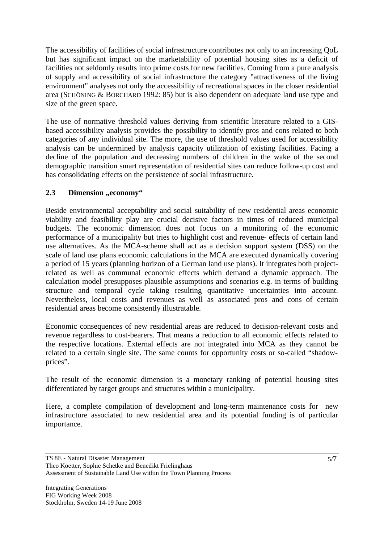The accessibility of facilities of social infrastructure contributes not only to an increasing QoL but has significant impact on the marketability of potential housing sites as a deficit of facilities not seldomly results into prime costs for new facilities. Coming from a pure analysis of supply and accessibility of social infrastructure the category "attractiveness of the living environment" analyses not only the accessibility of recreational spaces in the closer residential area (SCHÖNING & BORCHARD 1992: 85) but is also dependent on adequate land use type and size of the green space.

The use of normative threshold values deriving from scientific literature related to a GISbased accessibility analysis provides the possibility to identify pros and cons related to both categories of any individual site. The more, the use of threshold values used for accessibility analysis can be undermined by analysis capacity utilization of existing facilities. Facing a decline of the population and decreasing numbers of children in the wake of the second demographic transition smart representation of residential sites can reduce follow-up cost and has consolidating effects on the persistence of social infrastructure.

#### **2.3 Dimension** ,,economy"

Beside environmental acceptability and social suitability of new residential areas economic viability and feasibility play are crucial decisive factors in times of reduced municipal budgets. The economic dimension does not focus on a monitoring of the economic performance of a municipality but tries to highlight cost and revenue- effects of certain land use alternatives. As the MCA-scheme shall act as a decision support system (DSS) on the scale of land use plans economic calculations in the MCA are executed dynamically covering a period of 15 years (planning horizon of a German land use plans). It integrates both projectrelated as well as communal economic effects which demand a dynamic approach. The calculation model presupposes plausible assumptions and scenarios e.g. in terms of building structure and temporal cycle taking resulting quantitative uncertainties into account. Nevertheless, local costs and revenues as well as associated pros and cons of certain residential areas become consistently illustratable.

Economic consequences of new residential areas are reduced to decision-relevant costs and revenue regardless to cost-bearers. That means a reduction to all economic effects related to the respective locations. External effects are not integrated into MCA as they cannot be related to a certain single site. The same counts for opportunity costs or so-called "shadowprices".

The result of the economic dimension is a monetary ranking of potential housing sites differentiated by target groups and structures within a municipality.

Here, a complete compilation of development and long-term maintenance costs for new infrastructure associated to new residential area and its potential funding is of particular importance.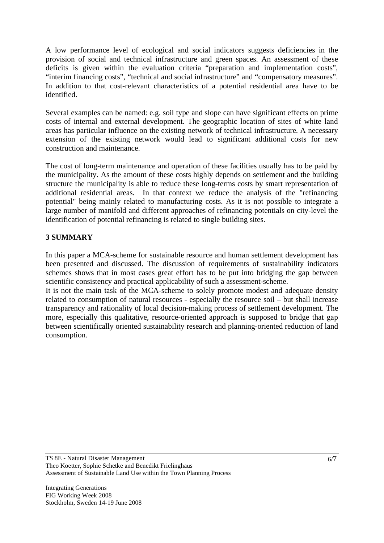A low performance level of ecological and social indicators suggests deficiencies in the provision of social and technical infrastructure and green spaces. An assessment of these deficits is given within the evaluation criteria "preparation and implementation costs", "interim financing costs", "technical and social infrastructure" and "compensatory measures". In addition to that cost-relevant characteristics of a potential residential area have to be identified.

Several examples can be named: e.g. soil type and slope can have significant effects on prime costs of internal and external development. The geographic location of sites of white land areas has particular influence on the existing network of technical infrastructure. A necessary extension of the existing network would lead to significant additional costs for new construction and maintenance.

The cost of long-term maintenance and operation of these facilities usually has to be paid by the municipality. As the amount of these costs highly depends on settlement and the building structure the municipality is able to reduce these long-terms costs by smart representation of additional residential areas. In that context we reduce the analysis of the "refinancing potential" being mainly related to manufacturing costs. As it is not possible to integrate a large number of manifold and different approaches of refinancing potentials on city-level the identification of potential refinancing is related to single building sites.

#### **3 SUMMARY**

In this paper a MCA-scheme for sustainable resource and human settlement development has been presented and discussed. The discussion of requirements of sustainability indicators schemes shows that in most cases great effort has to be put into bridging the gap between scientific consistency and practical applicability of such a assessment-scheme.

It is not the main task of the MCA-scheme to solely promote modest and adequate density related to consumption of natural resources - especially the resource soil – but shall increase transparency and rationality of local decision-making process of settlement development. The more, especially this qualitative, resource-oriented approach is supposed to bridge that gap between scientifically oriented sustainability research and planning-oriented reduction of land consumption.